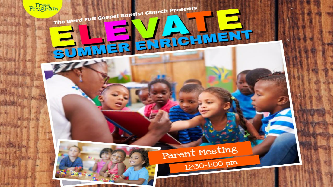Program The Word Full Gospel Baptist Church Presents WIMER ENRICHMENT

> Parent Meeting 12:30-1:00 pm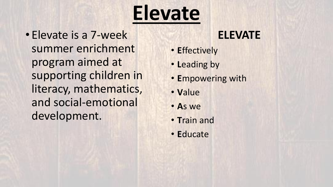# **Elevate**

• Elevate is a 7-week summer enrichment program aimed at supporting children in literacy, mathematics, and social-emotional development.

### **ELEVATE**

- Effectively
- Leading by
- Empowering with
- Value
- · As we
- Train and
- · Educate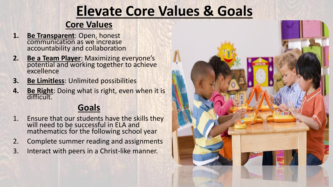### **Elevate Core Values & Goals**

### **Core Values**

- **1. Be Transparent**: Open, honest communication as we increase accountability and collaboration
- **2. Be a Team Player**: Maximizing everyone's potential and working together to achieve excellence
- **3. Be Limitless**: Unlimited possibilities
- **4. Be Right**: Doing what is right, even when it is difficult.

#### **Goals**

- 1. Ensure that our students have the skills they will need to be successful in ELA and mathematics for the following school year
- 2. Complete summer reading and assignments
- 3. Interact with peers in a Christ-like manner.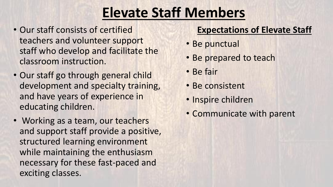### **Elevate Staff Members**

- Our staff consists of certified teachers and volunteer support staff who develop and facilitate the classroom instruction.
- Our staff go through general child development and specialty training, and have years of experience in educating children.
- Working as a team, our teachers and support staff provide a positive, structured learning environment while maintaining the enthusiasm necessary for these fast-paced and exciting classes.

### **Expectations of Elevate Staff**

- Be punctual
- Be prepared to teach
- Be fair
- Be consistent
- Inspire children
- Communicate with parent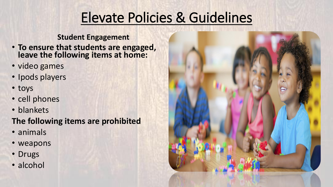### Elevate Policies & Guidelines

#### **Student Engagement**

- **To ensure that students are engaged, leave the following items at home:**
- video games
- Ipods players
- toys
- cell phones
- blankets

#### **The following items are prohibited**

- animals
- weapons
- Drugs
- alcohol

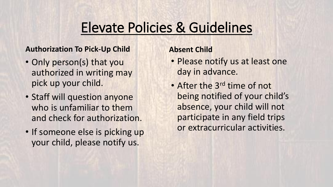### Elevate Policies & Guidelines

#### **Authorization To Pick-Up Child**

- Only person(s) that you authorized in writing may pick up your child.
- Staff will question anyone who is unfamiliar to them and check for authorization.
- If someone else is picking up your child, please notify us.

#### **Absent Child**

- Please notify us at least one day in advance.
- After the 3<sup>rd</sup> time of not being notified of your child's absence, your child will not participate in any field trips or extracurricular activities.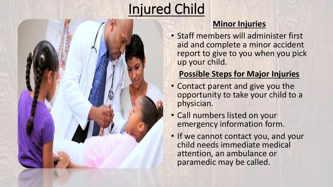# Injured Child

#### **Minor Injuries**

• Staff members will administer first aid and complete a minor accident report to give to you when you pick up your child.

### **Possible Steps for Major Injuries**

- Contact parent and give you the opportunity to take your child to a physician.
- Call numbers listed on your emergency information form.
- If we cannot contact you, and your child needs immediate medical attention, an ambulance or paramedic may be called.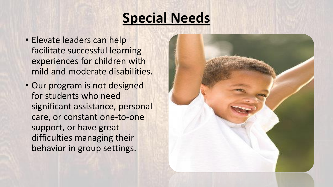### **Special Needs**

- Elevate leaders can help facilitate successful learning experiences for children with mild and moderate disabilities.
- Our program is not designed for students who need significant assistance, personal care, or constant one-to-one support, or have great difficulties managing their behavior in group settings.

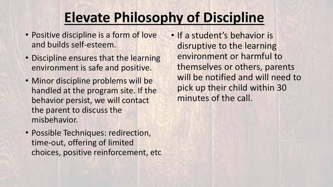## **Elevate Philosophy of Discipline**

- Positive discipline is a form of love and builds self-esteem.
- Discipline ensures that the learning environment is safe and positive.
- Minor discipline problems will be handled at the program site. If the behavior persist, we will contact the parent to discuss the misbehavior.
- Possible Techniques: redirection, time-out, offering of limited choices, positive reinforcement, etc

• If a student's behavior is disruptive to the learning environment or harmful to themselves or others, parents will be notified and will need to pick up their child within 30 minutes of the call.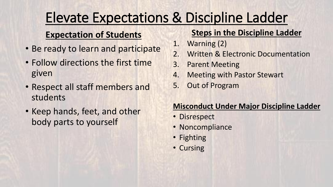## Elevate Expectations & Discipline Ladder

### **Expectation of Students**

- Be ready to learn and participate
- Follow directions the first time given
- Respect all staff members and students
- Keep hands, feet, and other body parts to yourself

#### **Steps in the Discipline Ladder**

- 1. Warning (2)
- 2. Written & Electronic Documentation
- 3. Parent Meeting
- 4. Meeting with Pastor Stewart
- 5. Out of Program

#### **Misconduct Under Major Discipline Ladder**

- Disrespect
- Noncompliance
- Fighting
- Cursing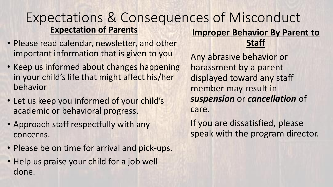### Expectations & Consequences of Misconduct **Expectation of Parents**

- Please read calendar, newsletter, and other important information that is given to you
- Keep us informed about changes happening in your child's life that might affect his/her behavior
- Let us keep you informed of your child's academic or behavioral progress.
- Approach staff respectfully with any concerns.
- Please be on time for arrival and pick-ups.
- Help us praise your child for a job well done.

#### **Improper Behavior By Parent to Staff**

Any abrasive behavior or harassment by a parent displayed toward any staff member may result in *suspension* or *cancellation* of care.

If you are dissatisfied, please speak with the program director.